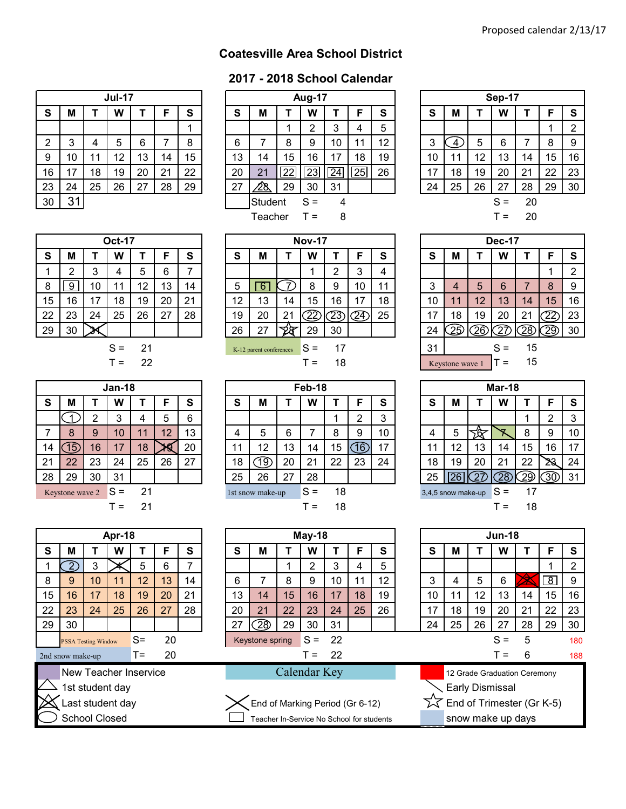## **Coatesville Area School District**

## **2017 - 2018 School Calendar**

|                  |    |    | <b>Jul-17</b> |    |    |    |
|------------------|----|----|---------------|----|----|----|
| ${\bf S}$        | M  | Т  | W             | т  | F  | S  |
|                  |    |    |               |    |    |    |
| $\boldsymbol{2}$ | 3  | 4  | 5             | 6  | 7  | 8  |
| 9                | 10 | 11 | 12            | 13 | 14 | 15 |
| 16               | 17 | 18 | 19            | 20 | 21 | 22 |
| 23               | 24 | 25 | 26            | 27 | 28 | 29 |
| 30               | 31 |    |               |    |    |    |

|                |        |     | <b>Jul-17</b> |    |    |    |    |         |    | <b>Aug-17</b>   |                 |                 |    |        |    |    | Sep-17 |    |    |    |
|----------------|--------|-----|---------------|----|----|----|----|---------|----|-----------------|-----------------|-----------------|----|--------|----|----|--------|----|----|----|
| S              | M      |     | W             |    |    | S  | S  | M       |    | W               |                 |                 | S  | S      | М  |    | W      |    |    | S  |
|                |        |     |               |    |    |    |    |         |    | ົ               |                 | 4               | 5  |        |    |    |        |    |    | 2  |
| $\overline{2}$ | ົ<br>J |     | 5             | 6  |    | 8  | 6  |         | 8  | 9               | 10              | 11              | 12 | ◠<br>N |    | 5  | 6      |    | 8  | 9  |
| 9              | 10     | ا 1 | 12            | I3 | 14 | 15 | 13 | 14      | 15 | 16              | 7               | 18              | 19 | 10     | -1 | 12 | 13     | 14 | 15 | 16 |
| 16             | 17     | 18  | 19            | 20 | 21 | 22 | 20 | 21      | 22 | $\overline{2}3$ | $\overline{24}$ | $\overline{25}$ | 26 | 17     | 18 | 19 | 20     | 21 | 22 | 23 |
| 23             | 24     | 25  | 26            | 27 | 28 | 29 | 27 | ∕28.    | 29 | 30              | 31              |                 |    | 24     | 25 | 26 | 27     | 28 | 29 | 30 |
| 30             | 31     |     |               |    |    |    |    | Student |    | $S =$           | 4               |                 |    |        |    |    | $S =$  | 20 |    |    |
|                |        |     |               |    |    |    |    | Teacher |    | т =             | 8               |                 |    |        |    |    | $T =$  | 20 |    |    |

|             |    |    | <b>Sep-17</b> |    |    |                |
|-------------|----|----|---------------|----|----|----------------|
| $\mathbf s$ | M  | Т  | W             | т  | F  | S              |
|             |    |    |               |    |    | $\overline{2}$ |
| 3           | 4  | 5  | 6             | 7  | 8  | 9              |
| 10          | 11 | 12 | 13            | 14 | 15 | 16             |
| 17          | 18 | 19 | 20            | 21 | 22 | 23             |
| 24          | 25 | 26 | 27            | 28 | 29 | 30             |
|             |    |    | $S =$         | 20 |    |                |
|             |    |    | т =           | 20 |    |                |

|    |    |    | <b>Oct-17</b> |     |    |    |    |                         |          | <b>Nov-17</b> |    |    |    |        |                 |      | <b>Dec-17</b> |    |    |    |
|----|----|----|---------------|-----|----|----|----|-------------------------|----------|---------------|----|----|----|--------|-----------------|------|---------------|----|----|----|
| S  | м  |    | W             |     |    | S  | S  | м                       |          | W             |    |    | S  | S      | М               |      | W             |    |    | s  |
|    |    | 3  | 4             | 5   | 6  | ⇁  |    |                         |          |               | റ  | 3  | 4  |        |                 |      |               |    |    | ∩  |
| 8  | 9  | 10 | 11            | 12  | 13 | 14 | 5  | 6                       |          | 8             | 9  | 10 | 11 | ົ<br>د |                 | 5    | 6             |    | 8  | 9  |
| 15 | 16 | 17 | 18            | 19  | 20 | 21 | 12 | 13                      | 14       | 15            | 16 |    | 18 | 10     |                 | 12   | 13            | 14 | 15 | 16 |
| 22 | 23 | 24 | 25            | 26  | 27 | 28 | 19 | 20                      | 21<br>∠∣ | הה            | 23 | 24 | 25 | 17     | 18              | 19   | 20            | 21 |    | 23 |
| 29 | 30 |    |               |     |    |    | 26 | 27                      | তাচ      | 29            | 30 |    |    | 24     | つば              | ัวคั | ົດສ           | 28 | 29 | 30 |
|    |    |    | $S =$         | 21  |    |    |    | K-12 parent conferences |          | $S =$         | 17 |    |    | 31     |                 |      | $S =$         | 15 |    |    |
|    |    |    | г =           | -22 |    |    |    |                         |          | $=$           | 18 |    |    |        | Keystone wave 1 |      | $=$           | 15 |    |    |

|    |                    |                | Mar-18 |    |    |    |
|----|--------------------|----------------|--------|----|----|----|
| S  | M                  | т              | w      | т  | F  | S  |
|    |                    |                |        | 1  | 2  | 3  |
| 4  | 5                  |                |        | 8  | 9  | 10 |
| 11 | 12                 | 13             | 14     | 15 | 16 | 17 |
| 18 | 19                 | 20             | 21     | 22 |    | 24 |
| 25 |                    | $\overline{2}$ |        |    |    | 31 |
|    | 3,4,5 snow make-up |                | $S =$  | 17 |    |    |
|    |                    |                |        | 18 |    |    |

|    |                  |                            | Apr-18                |    |    |    |    |                                           |              | May-18         |    |    |    |    |    |    | <b>Jun-18</b>                |    |             |     |
|----|------------------|----------------------------|-----------------------|----|----|----|----|-------------------------------------------|--------------|----------------|----|----|----|----|----|----|------------------------------|----|-------------|-----|
| S  | М                |                            | W                     |    | F  | S  | S  | M                                         |              | W              |    | F  | S  | S  | м  |    | W                            |    | F           | S   |
|    |                  | 3                          |                       | 5  | 6  | 7  |    |                                           |              | $\overline{2}$ | 3  | 4  | 5  |    |    |    |                              |    |             | າ   |
| 8  | 9                | 10                         | 11                    | 12 | 13 | 14 | 6  |                                           | 8            | 9              | 10 | 11 | 12 | 3  | 4  | 5  | 6                            |    | $\boxed{8}$ | 9   |
| 15 | 16               | 17                         | 18                    | 19 | 20 | 21 | 13 | 14                                        | 15           | 16             | 17 | 18 | 19 | 10 | 11 | 12 | 13                           | 14 | 15          | 16  |
| 22 | 23               | 24                         | 25                    | 26 | 27 | 28 | 20 | 21                                        | 22           | 23             | 24 | 25 | 26 | 17 | 18 | 19 | 20                           | 21 | 22          | 23  |
| 29 | 30               |                            |                       |    |    |    | 27 | ිව                                        | 29           | 30             | 31 |    |    | 24 | 25 | 26 | 27                           | 28 | 29          | 30  |
|    |                  | <b>PSSA Testing Window</b> |                       | S= | 20 |    |    | Keystone spring                           |              | $S =$          | 22 |    |    |    |    |    | $S =$                        | 5  |             | 180 |
|    | Ind snow make-up |                            |                       | Т= | 20 |    |    |                                           |              | $=$            | 22 |    |    |    |    |    |                              | 6  |             | 188 |
|    |                  |                            | New Teacher Inservice |    |    |    |    |                                           | Calendar Key |                |    |    |    |    |    |    | 12 Grade Graduation Ceremony |    |             |     |
|    |                  |                            | 1st student day       |    |    |    |    |                                           |              |                |    |    |    |    |    |    | <b>Early Dismissal</b>       |    |             |     |
|    |                  |                            | Last student day      |    |    |    |    | End of Marking Period (Gr 6-12)           |              |                |    |    |    |    |    |    | End of Trimester (Gr K-5)    |    |             |     |
|    |                  | <b>School Closed</b>       |                       |    |    |    |    | Teacher In-Service No School for students |              |                |    |    |    |    |    |    | snow make up days            |    |             |     |

|    |    |    | <b>Oct-17</b> |    |    |    |
|----|----|----|---------------|----|----|----|
| S  | M  | т  | W             | Т  | F  | S  |
|    | 2  | 3  | 4             | 5  | 6  |    |
| 8  | Й  | 10 | 11            | 12 | 13 | 14 |
| 15 | 16 | 17 | 18            | 19 | 20 | 21 |
| 22 | 23 | 24 | 25            | 26 | 27 | 28 |
| 29 | 30 |    |               |    |    |    |
|    |    |    | S             | 21 |    |    |

|    |                 |    | Jan-18 |    |    |    |    |                  |    | Feb-18 |  |
|----|-----------------|----|--------|----|----|----|----|------------------|----|--------|--|
| S  | М               |    | W      |    | F  | S  | S  | М                |    | w      |  |
|    |                 | 2  | 3      | 4  | 5  | 6  |    |                  |    |        |  |
|    | 8               | 9  | 10     | 11 | 12 | 13 |    | 5                | 6  |        |  |
| 14 | 15)             | 16 | 17     | 18 |    | 20 | 11 | 12               | 13 | 14     |  |
| 21 | 22              | 23 | 24     | 25 | 26 | 27 | 18 | 19.              | 20 | 21     |  |
| 28 | 29              | 30 | 31     |    |    |    | 25 | 26               | 27 | 28     |  |
|    | Keystone wave 2 |    | $S =$  | 21 |    |    |    | 1st snow make-up |    | $S =$  |  |
|    |                 |    | т =    | 21 |    |    |    |                  |    |        |  |

|    |                              |                            | Apr-18           |       |    |    |  |  |  |  |  |  |
|----|------------------------------|----------------------------|------------------|-------|----|----|--|--|--|--|--|--|
| S  | M                            | т                          | W                | Т     | F  | S  |  |  |  |  |  |  |
| 1  |                              | 3                          |                  | 5     | 6  | 7  |  |  |  |  |  |  |
| 8  | 9                            | 10                         | 11               | 12    | 13 | 14 |  |  |  |  |  |  |
| 15 | 16                           | 17<br>19<br>18<br>20<br>21 |                  |       |    |    |  |  |  |  |  |  |
| 22 | 23                           | 25<br>26<br>28<br>24<br>27 |                  |       |    |    |  |  |  |  |  |  |
| 29 | 30                           |                            |                  |       |    |    |  |  |  |  |  |  |
|    |                              | <b>PSSA Testing Window</b> |                  | S=    | 20 |    |  |  |  |  |  |  |
|    | 2nd snow make-up             |                            |                  | $T =$ | 20 |    |  |  |  |  |  |  |
|    | <b>New Teacher Inservice</b> |                            |                  |       |    |    |  |  |  |  |  |  |
|    |                              |                            | 1st student day  |       |    |    |  |  |  |  |  |  |
|    |                              |                            | Last student day |       |    |    |  |  |  |  |  |  |

|    |                             |    | Jan-18 |    |    |    |                          |                  |    | Feb-18 |    |    |    |                            |    |    | Mar-18 |     |     |          |
|----|-----------------------------|----|--------|----|----|----|--------------------------|------------------|----|--------|----|----|----|----------------------------|----|----|--------|-----|-----|----------|
| S  | M                           |    | W      |    |    | S  | S                        | М                |    | W      |    |    | S  | S                          | М  |    | W      |     |     | <b>S</b> |
|    |                             |    | ◠<br>د |    | 5  | 6  |                          |                  |    |        |    | ⌒  | 3  |                            |    |    |        |     |     | 3        |
|    | 8                           | 9  | 10     |    | 12 | 13 | 4                        | 5                | 6  |        |    | 9  | 10 | 4                          | 5  |    |        | 8   | 9   | 10       |
| 14 | 15                          | 16 | 17     | 18 |    | 20 | $\overline{\phantom{a}}$ | 12               | 13 | 14     | 15 | 16 | 17 | 11                         | 12 | 13 | 14     | 15  | 16  | 17       |
| 21 | 22                          | 23 | 24     | 25 | 26 | 27 | 18                       | 19)              | 20 | 21     | 22 | 23 | 24 | 18                         | 19 | 20 | 21     | 22  | ∠∢  | 24       |
| 28 | 29                          | 30 | 31     |    |    |    | 25                       | 26               | 27 | 28     |    |    |    | 25                         |    |    | ്ററ്   | 29  | 30) | 31       |
|    | Keystone wave $2 \quad S =$ |    |        | 21 |    |    |                          | 1st snow make-up |    | $S =$  | 18 |    |    | $3,4,5$ snow make-up $S =$ |    |    |        | -17 |     |          |
|    |                             |    | $=$    | 21 |    |    |                          |                  |    | $=$    | 18 |    |    |                            |    |    | $=$    | 18  |     |          |

| s =   | 21  |    |    |     | 1st snow make-up |    | $S =$  | 18       |     |     | 3,4,5 snow make-up |    |                 | $S =$         | 17 |
|-------|-----|----|----|-----|------------------|----|--------|----------|-----|-----|--------------------|----|-----------------|---------------|----|
| $T =$ | 21  |    |    |     |                  |    | $T =$  | 18       |     |     |                    |    |                 | $T =$         | 18 |
|       |     |    |    |     |                  |    |        |          |     |     |                    |    |                 |               |    |
| pr-18 |     |    |    |     |                  |    | May-18 |          |     |     |                    |    |                 | <b>Jun-18</b> |    |
| W     |     | F  | S  | S   | Μ                |    | W      |          | F   | S   | S                  | M  |                 | W             |    |
|       | 5   | 6  | 7  |     |                  |    | 2      | 3        | 4   | 5   |                    |    |                 |               |    |
| 11    | 12  | 13 | 14 | 6   |                  | 8  | 9      | 10       | 11  | 12  | 3                  | 4  | 5               | 6             |    |
| 18    | 19  | 20 | 21 | 13  | 14               | 15 | 16     | 17       | 18  | 19  | 10                 | 11 | 12              | 13            | 14 |
| DE    | no. | 57 | ററ | nn. | $\Omega$         | ററ | no.    | $\Omega$ | OE. | no. | 17                 | 10 | 10 <sup>1</sup> | $\Omega$      | 04 |

## Calendar Key